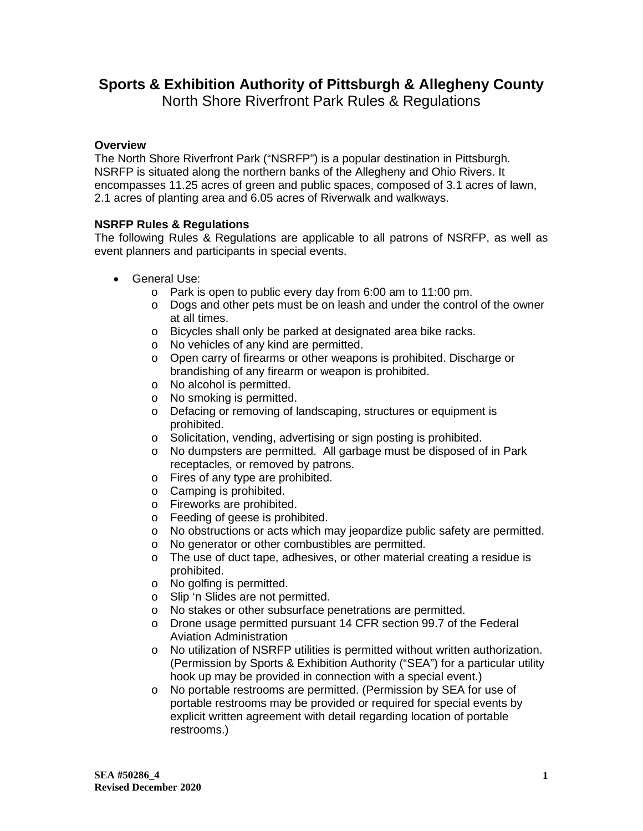## **Sports & Exhibition Authority of Pittsburgh & Allegheny County**

North Shore Riverfront Park Rules & Regulations

## **Overview**

The North Shore Riverfront Park ("NSRFP") is a popular destination in Pittsburgh. NSRFP is situated along the northern banks of the Allegheny and Ohio Rivers. It encompasses 11.25 acres of green and public spaces, composed of 3.1 acres of lawn, 2.1 acres of planting area and 6.05 acres of Riverwalk and walkways.

## **NSRFP Rules & Regulations**

The following Rules & Regulations are applicable to all patrons of NSRFP, as well as event planners and participants in special events.

- General Use:
	- o Park is open to public every day from 6:00 am to 11:00 pm.
	- $\circ$  Dogs and other pets must be on leash and under the control of the owner at all times.
	- o Bicycles shall only be parked at designated area bike racks.
	- o No vehicles of any kind are permitted.
	- o Open carry of firearms or other weapons is prohibited. Discharge or brandishing of any firearm or weapon is prohibited.
	- o No alcohol is permitted.
	- o No smoking is permitted.
	- o Defacing or removing of landscaping, structures or equipment is prohibited.
	- o Solicitation, vending, advertising or sign posting is prohibited.
	- o No dumpsters are permitted. All garbage must be disposed of in Park receptacles, or removed by patrons.
	- o Fires of any type are prohibited.
	- o Camping is prohibited.
	- o Fireworks are prohibited.
	- o Feeding of geese is prohibited.
	- o No obstructions or acts which may jeopardize public safety are permitted.
	- o No generator or other combustibles are permitted.
	- o The use of duct tape, adhesives, or other material creating a residue is prohibited.
	- o No golfing is permitted.
	- o Slip 'n Slides are not permitted.
	- o No stakes or other subsurface penetrations are permitted.
	- o Drone usage permitted pursuant 14 CFR section 99.7 of the Federal Aviation Administration
	- o No utilization of NSRFP utilities is permitted without written authorization. (Permission by Sports & Exhibition Authority ("SEA") for a particular utility hook up may be provided in connection with a special event.)
	- o No portable restrooms are permitted. (Permission by SEA for use of portable restrooms may be provided or required for special events by explicit written agreement with detail regarding location of portable restrooms.)